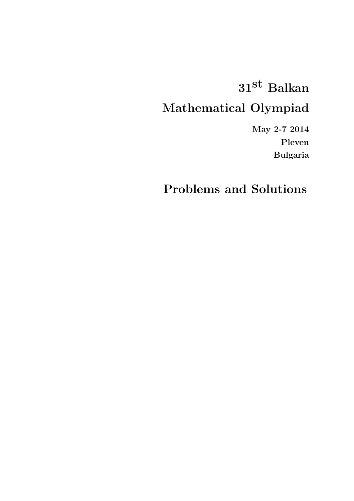## 31st Balkan Mathematical Olympiad

May 2-7 2014 Pleven Bulgaria

Problems and Solutions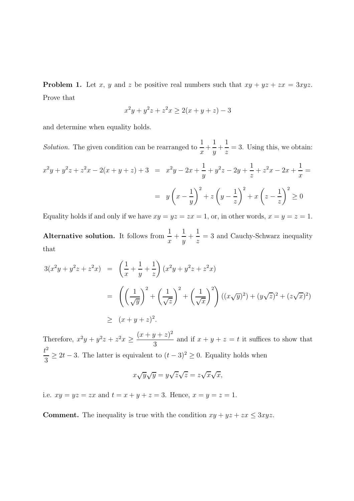**Problem 1.** Let x, y and z be positive real numbers such that  $xy + yz + zx = 3xyz$ . Prove that

$$
x^2y + y^2z + z^2x \ge 2(x + y + z) - 3
$$

and determine when equality holds.

Solution. The given condition can be rearranged to  $\frac{1}{x}$  + 1  $\frac{1}{y}$  + 1  $\frac{1}{z}$  = 3. Using this, we obtain:

$$
x^{2}y + y^{2}z + z^{2}x - 2(x + y + z) + 3 = x^{2}y - 2x + \frac{1}{y} + y^{2}z - 2y + \frac{1}{z} + z^{2}x - 2x + \frac{1}{x} =
$$
  

$$
= y\left(x - \frac{1}{y}\right)^{2} + z\left(y - \frac{1}{z}\right)^{2} + x\left(z - \frac{1}{z}\right)^{2} \ge 0
$$

Equality holds if and only if we have  $xy = yz = zx = 1$ , or, in other words,  $x = y = z = 1$ .

Alternative solution. It follows from  $\frac{1}{x}$  + 1  $\frac{1}{y}$  + 1  $\frac{1}{z}$  = 3 and Cauchy-Schwarz inequality that

$$
3(x^{2}y + y^{2}z + z^{2}x) = \left(\frac{1}{x} + \frac{1}{y} + \frac{1}{z}\right)(x^{2}y + y^{2}z + z^{2}x)
$$
  
= 
$$
\left(\left(\frac{1}{\sqrt{y}}\right)^{2} + \left(\frac{1}{\sqrt{z}}\right)^{2} + \left(\frac{1}{\sqrt{x}}\right)^{2}\right)((x\sqrt{y})^{2}) + (y\sqrt{z})^{2} + (z\sqrt{x})^{2})
$$
  

$$
\geq (x + y + z)^{2}.
$$

Therefore,  $x^2y + y^2z + z^2x \ge \frac{(x+y+z)^2}{3}$ 3 and if  $x + y + z = t$  it suffices to show that  $t^2$  $\frac{b}{3} \ge 2t - 3$ . The latter is equivalent to  $(t - 3)^2 \ge 0$ . Equality holds when

$$
x\sqrt{y}\sqrt{y} = y\sqrt{z}\sqrt{z} = z\sqrt{x}\sqrt{x},
$$

i.e.  $xy = yz = zx$  and  $t = x + y + z = 3$ . Hence,  $x = y = z = 1$ .

**Comment.** The inequality is true with the condition  $xy + yz + zx \leq 3xyz$ .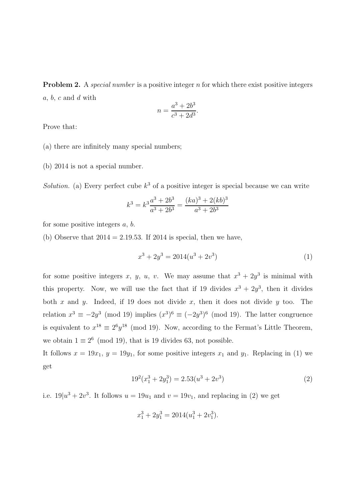**Problem 2.** A special number is a positive integer  $n$  for which there exist positive integers  $a, b, c$  and  $d$  with

$$
n = \frac{a^3 + 2b^3}{c^3 + 2d^3}.
$$

Prove that:

- (a) there are infinitely many special numbers;
- (b) 2014 is not a special number.

Solution. (a) Every perfect cube  $k^3$  of a positive integer is special because we can write

$$
k^{3} = k^{3} \frac{a^{3} + 2b^{3}}{a^{3} + 2b^{3}} = \frac{(ka)^{3} + 2(kb)^{3}}{a^{3} + 2b^{3}}
$$

for some positive integers  $a, b$ .

(b) Observe that  $2014 = 2.19.53$ . If  $2014$  is special, then we have,

$$
x^3 + 2y^3 = 2014(u^3 + 2v^3)
$$
\n(1)

for some positive integers x, y, u, v. We may assume that  $x^3 + 2y^3$  is minimal with this property. Now, we will use the fact that if 19 divides  $x^3 + 2y^3$ , then it divides both x and y. Indeed, if 19 does not divide x, then it does not divide y too. The relation  $x^3 \equiv -2y^3 \pmod{19}$  implies  $(x^3)^6 \equiv (-2y^3)^6 \pmod{19}$ . The latter congruence is equivalent to  $x^{18} \equiv 2^6 y^{18} \pmod{19}$ . Now, according to the Fermat's Little Theorem, we obtain  $1 \equiv 2^6 \pmod{19}$ , that is 19 divides 63, not possible.

It follows  $x = 19x_1$ ,  $y = 19y_1$ , for some positive integers  $x_1$  and  $y_1$ . Replacing in (1) we get

$$
192(x13 + 2y13) = 2.53(u3 + 2v3)
$$
\n(2)

i.e.  $19|u^3 + 2v^3$ . It follows  $u = 19u_1$  and  $v = 19v_1$ , and replacing in (2) we get

$$
x_1^3 + 2y_1^3 = 2014(u_1^3 + 2v_1^3).
$$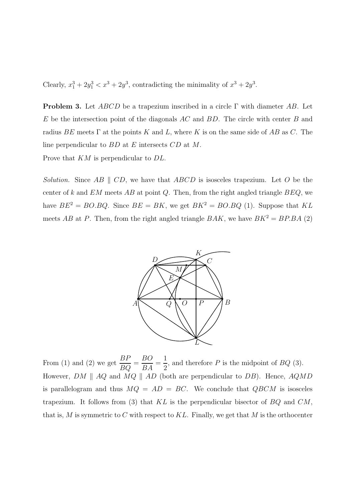Clearly,  $x_1^3 + 2y_1^3 < x^3 + 2y^3$ , contradicting the minimality of  $x^3 + 2y^3$ .

**Problem 3.** Let  $ABCD$  be a trapezium inscribed in a circle  $\Gamma$  with diameter AB. Let E be the intersection point of the diagonals AC and BD. The circle with center B and radius BE meets  $\Gamma$  at the points K and L, where K is on the same side of AB as C. The line perpendicular to BD at E intersects CD at M.

Prove that KM is perpendicular to DL.

Solution. Since AB  $\parallel$  CD, we have that ABCD is isosceles trapezium. Let O be the center of k and  $EM$  meets  $AB$  at point Q. Then, from the right angled triangle  $BEQ$ , we have  $BE^2 = BO.BQ$ . Since  $BE = BK$ , we get  $BK^2 = BO.BQ$  (1). Suppose that KL meets AB at P. Then, from the right angled triangle BAK, we have  $BK^2 = BP.BA$  (2)



From (1) and (2) we get  $\frac{BP}{BQ}$  = BO  $\frac{16}{BA} =$ 1 2 , and therefore  $P$  is the midpoint of  $BQ$  (3). However,  $DM \parallel AQ$  and  $MQ \parallel AD$  (both are perpendicular to  $DB$ ). Hence,  $AQMD$ is parallelogram and thus  $MQ = AD = BC$ . We conclude that  $QBCM$  is isosceles trapezium. It follows from (3) that  $KL$  is the perpendicular bisector of  $BQ$  and  $CM$ , that is, M is symmetric to C with respect to KL. Finally, we get that M is the orthocenter